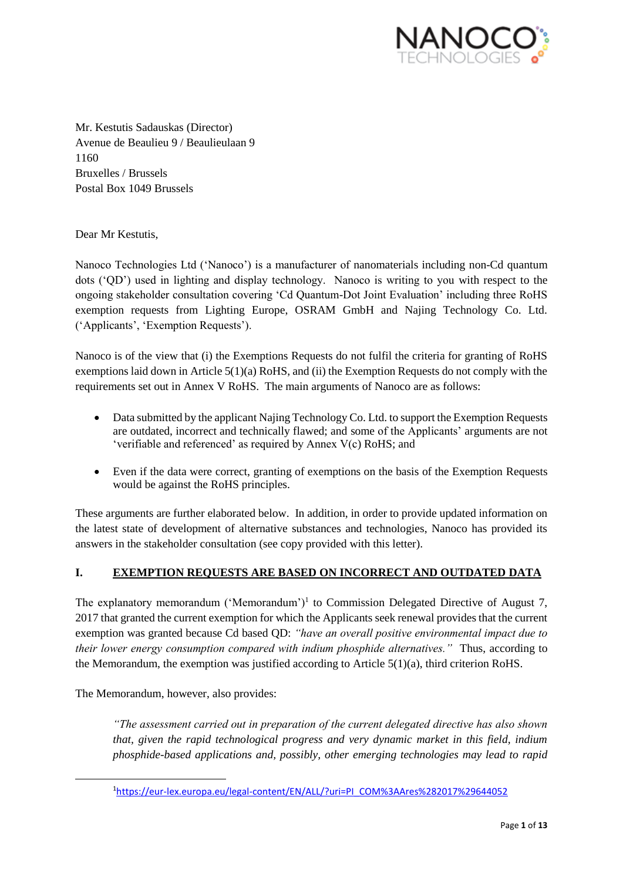

Mr. Kestutis Sadauskas (Director) Avenue de Beaulieu 9 / Beaulieulaan 9 1160 Bruxelles / Brussels Postal Box 1049 Brussels

Dear Mr Kestutis,

Nanoco Technologies Ltd ('Nanoco') is a manufacturer of nanomaterials including non-Cd quantum dots ('QD') used in lighting and display technology. Nanoco is writing to you with respect to the ongoing stakeholder consultation covering 'Cd Quantum-Dot Joint Evaluation' including three RoHS exemption requests from Lighting Europe, OSRAM GmbH and Najing Technology Co. Ltd. ('Applicants', 'Exemption Requests').

Nanoco is of the view that (i) the Exemptions Requests do not fulfil the criteria for granting of RoHS exemptions laid down in Article 5(1)(a) RoHS, and (ii) the Exemption Requests do not comply with the requirements set out in Annex V RoHS. The main arguments of Nanoco are as follows:

- Data submitted by the applicant Najing Technology Co. Ltd. to support the Exemption Requests are outdated, incorrect and technically flawed; and some of the Applicants' arguments are not 'verifiable and referenced' as required by Annex V(c) RoHS; and
- Even if the data were correct, granting of exemptions on the basis of the Exemption Requests would be against the RoHS principles.

These arguments are further elaborated below. In addition, in order to provide updated information on the latest state of development of alternative substances and technologies, Nanoco has provided its answers in the stakeholder consultation (see copy provided with this letter).

## **I. EXEMPTION REQUESTS ARE BASED ON INCORRECT AND OUTDATED DATA**

The explanatory memorandum ('Memorandum')<sup>1</sup> to Commission Delegated Directive of August 7, 2017 that granted the current exemption for which the Applicants seek renewal provides that the current exemption was granted because Cd based QD: *"have an overall positive environmental impact due to their lower energy consumption compared with indium phosphide alternatives."* Thus, according to the Memorandum, the exemption was justified according to Article  $5(1)(a)$ , third criterion RoHS.

The Memorandum, however, also provides:

**.** 

*"The assessment carried out in preparation of the current delegated directive has also shown that, given the rapid technological progress and very dynamic market in this field, indium phosphide-based applications and, possibly, other emerging technologies may lead to rapid* 

<sup>1</sup>[https://eur-lex.europa.eu/legal-content/EN/ALL/?uri=PI\\_COM%3AAres%282017%29644052](https://eur-lex.europa.eu/legal-content/EN/ALL/?uri=PI_COM%3AAres%282017%29644052)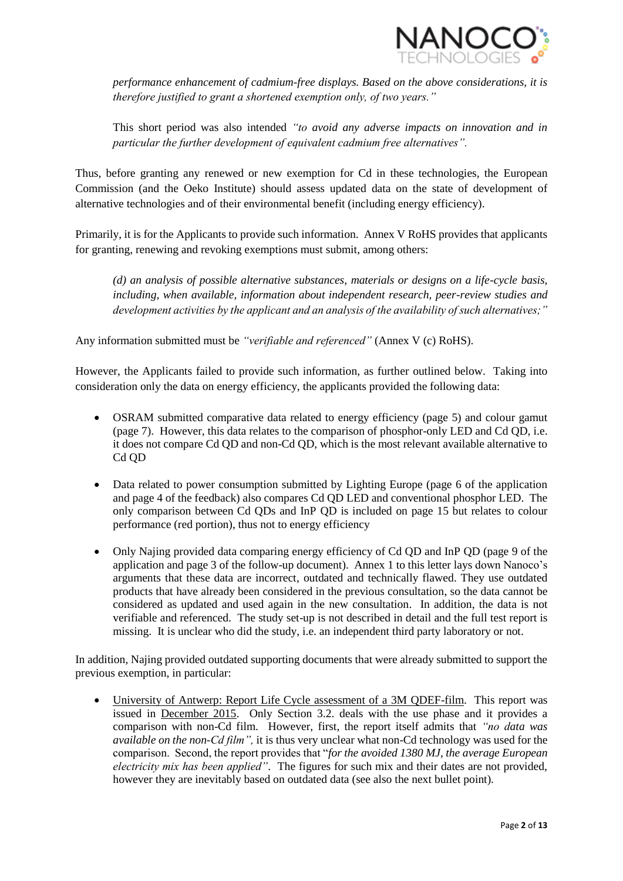

*performance enhancement of cadmium-free displays. Based on the above considerations, it is therefore justified to grant a shortened exemption only, of two years."* 

This short period was also intended *"to avoid any adverse impacts on innovation and in particular the further development of equivalent cadmium free alternatives".*

Thus, before granting any renewed or new exemption for Cd in these technologies, the European Commission (and the Oeko Institute) should assess updated data on the state of development of alternative technologies and of their environmental benefit (including energy efficiency).

Primarily, it is for the Applicants to provide such information. Annex V RoHS provides that applicants for granting, renewing and revoking exemptions must submit, among others:

*(d) an analysis of possible alternative substances, materials or designs on a life-cycle basis, including, when available, information about independent research, peer-review studies and development activities by the applicant and an analysis of the availability of such alternatives;"*

Any information submitted must be *"verifiable and referenced"* (Annex V (c) RoHS).

However, the Applicants failed to provide such information, as further outlined below. Taking into consideration only the data on energy efficiency, the applicants provided the following data:

- OSRAM submitted comparative data related to energy efficiency (page 5) and colour gamut (page 7). However, this data relates to the comparison of phosphor-only LED and Cd QD, i.e. it does not compare Cd QD and non-Cd QD, which is the most relevant available alternative to Cd OD
- Data related to power consumption submitted by Lighting Europe (page 6 of the application and page 4 of the feedback) also compares Cd QD LED and conventional phosphor LED. The only comparison between Cd QDs and InP QD is included on page 15 but relates to colour performance (red portion), thus not to energy efficiency
- Only Najing provided data comparing energy efficiency of Cd QD and InP QD (page 9 of the application and page 3 of the follow-up document). Annex 1 to this letter lays down Nanoco's arguments that these data are incorrect, outdated and technically flawed. They use outdated products that have already been considered in the previous consultation, so the data cannot be considered as updated and used again in the new consultation. In addition, the data is not verifiable and referenced. The study set-up is not described in detail and the full test report is missing. It is unclear who did the study, i.e. an independent third party laboratory or not.

In addition, Najing provided outdated supporting documents that were already submitted to support the previous exemption, in particular:

 University of Antwerp: Report Life Cycle assessment of a 3M QDEF-film. This report was issued in December 2015. Only Section 3.2. deals with the use phase and it provides a comparison with non-Cd film. However, first, the report itself admits that *"no data was available on the non-Cd film",* it is thus very unclear what non-Cd technology was used for the comparison. Second, the report provides that "*for the avoided 1380 MJ, the average European electricity mix has been applied"*. The figures for such mix and their dates are not provided, however they are inevitably based on outdated data (see also the next bullet point).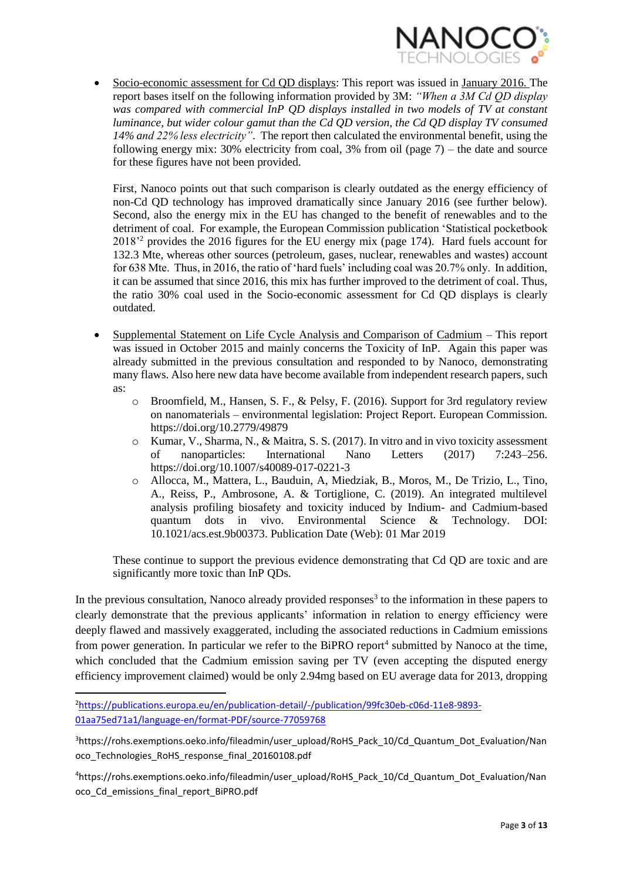

 Socio-economic assessment for Cd QD displays: This report was issued in January 2016. The report bases itself on the following information provided by 3M: *"When a 3M Cd QD display was compared with commercial InP QD displays installed in two models of TV at constant luminance, but wider colour gamut than the Cd QD version, the Cd QD display TV consumed 14% and 22% less electricity"*. The report then calculated the environmental benefit, using the following energy mix: 30% electricity from coal, 3% from oil (page  $7$ ) – the date and source for these figures have not been provided.

First, Nanoco points out that such comparison is clearly outdated as the energy efficiency of non-Cd QD technology has improved dramatically since January 2016 (see further below). Second, also the energy mix in the EU has changed to the benefit of renewables and to the detriment of coal. For example, the European Commission publication 'Statistical pocketbook 2018'<sup>2</sup> provides the 2016 figures for the EU energy mix (page 174). Hard fuels account for 132.3 Mte, whereas other sources (petroleum, gases, nuclear, renewables and wastes) account for 638 Mte. Thus, in 2016, the ratio of 'hard fuels' including coal was 20.7% only. In addition, it can be assumed that since 2016, this mix has further improved to the detriment of coal. Thus, the ratio 30% coal used in the Socio-economic assessment for Cd QD displays is clearly outdated.

- Supplemental Statement on Life Cycle Analysis and Comparison of Cadmium This report was issued in October 2015 and mainly concerns the Toxicity of InP. Again this paper was already submitted in the previous consultation and responded to by Nanoco, demonstrating many flaws. Also here new data have become available from independent research papers, such as:
	- o Broomfield, M., Hansen, S. F., & Pelsy, F. (2016). Support for 3rd regulatory review on nanomaterials – environmental legislation: Project Report. European Commission. https://doi.org/10.2779/49879
	- o Kumar, V., Sharma, N., & Maitra, S. S. (2017). In vitro and in vivo toxicity assessment of nanoparticles: International Nano Letters (2017) 7:243–256. https://doi.org/10.1007/s40089-017-0221-3
	- o Allocca, M., Mattera, L., Bauduin, A, Miedziak, B., Moros, M., De Trizio, L., Tino, A., Reiss, P., Ambrosone, A. & Tortiglione, C. (2019). An integrated multilevel analysis profiling biosafety and toxicity induced by Indium- and Cadmium-based quantum dots in vivo. Environmental Science & Technology. DOI: 10.1021/acs.est.9b00373. Publication Date (Web): 01 Mar 2019

These continue to support the previous evidence demonstrating that Cd QD are toxic and are significantly more toxic than InP QDs.

In the previous consultation, Nanoco already provided responses<sup>3</sup> to the information in these papers to clearly demonstrate that the previous applicants' information in relation to energy efficiency were deeply flawed and massively exaggerated, including the associated reductions in Cadmium emissions from power generation. In particular we refer to the BiPRO report<sup>4</sup> submitted by Nanoco at the time, which concluded that the Cadmium emission saving per TV (even accepting the disputed energy efficiency improvement claimed) would be only 2.94mg based on EU average data for 2013, dropping

**.** 

<sup>2</sup>[https://publications.europa.eu/en/publication-detail/-/publication/99fc30eb-c06d-11e8-9893-](https://publications.europa.eu/en/publication-detail/-/publication/99fc30eb-c06d-11e8-9893-01aa75ed71a1/language-en/format-PDF/source-77059768) [01aa75ed71a1/language-en/format-PDF/source-77059768](https://publications.europa.eu/en/publication-detail/-/publication/99fc30eb-c06d-11e8-9893-01aa75ed71a1/language-en/format-PDF/source-77059768)

<sup>3</sup>https://rohs.exemptions.oeko.info/fileadmin/user\_upload/RoHS\_Pack\_10/Cd\_Quantum\_Dot\_Evaluation/Nan oco\_Technologies\_RoHS\_response\_final\_20160108.pdf

<sup>4</sup>https://rohs.exemptions.oeko.info/fileadmin/user\_upload/RoHS\_Pack\_10/Cd\_Quantum\_Dot\_Evaluation/Nan oco\_Cd\_emissions\_final\_report\_BiPRO.pdf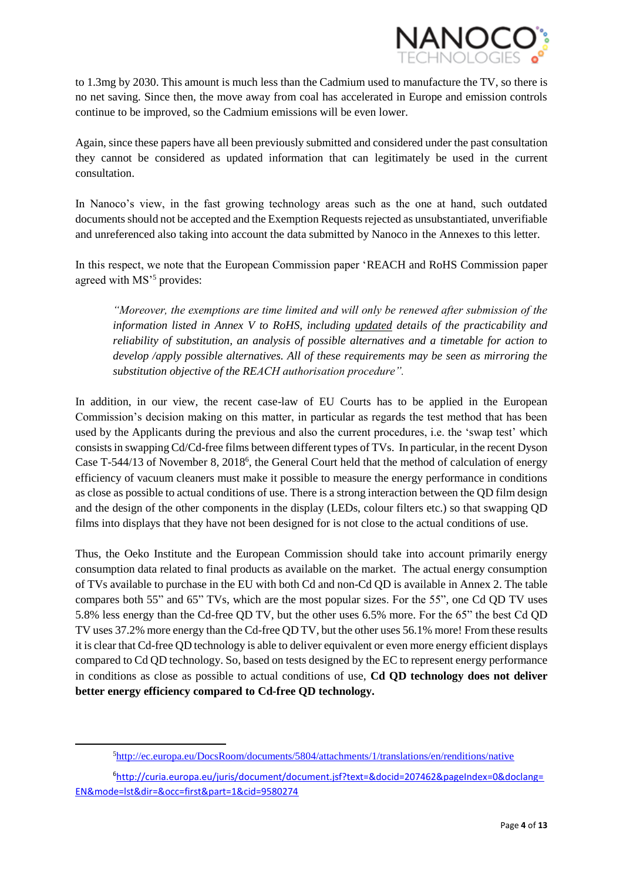

to 1.3mg by 2030. This amount is much less than the Cadmium used to manufacture the TV, so there is no net saving. Since then, the move away from coal has accelerated in Europe and emission controls continue to be improved, so the Cadmium emissions will be even lower.

Again, since these papers have all been previously submitted and considered under the past consultation they cannot be considered as updated information that can legitimately be used in the current consultation.

In Nanoco's view, in the fast growing technology areas such as the one at hand, such outdated documents should not be accepted and the Exemption Requests rejected as unsubstantiated, unverifiable and unreferenced also taking into account the data submitted by Nanoco in the Annexes to this letter.

In this respect, we note that the European Commission paper 'REACH and RoHS Commission paper agreed with MS<sup>'5</sup> provides:

*"Moreover, the exemptions are time limited and will only be renewed after submission of the information listed in Annex V to RoHS, including updated details of the practicability and reliability of substitution, an analysis of possible alternatives and a timetable for action to develop /apply possible alternatives. All of these requirements may be seen as mirroring the substitution objective of the REACH authorisation procedure".*

In addition, in our view, the recent case-law of EU Courts has to be applied in the European Commission's decision making on this matter, in particular as regards the test method that has been used by the Applicants during the previous and also the current procedures, i.e. the 'swap test' which consists in swapping Cd/Cd-free films between different types of TVs. In particular, in the recent Dyson Case T-544/13 of November 8, 2018<sup>6</sup>, the General Court held that the method of calculation of energy efficiency of vacuum cleaners must make it possible to measure the energy performance in conditions as close as possible to actual conditions of use. There is a strong interaction between the QD film design and the design of the other components in the display (LEDs, colour filters etc.) so that swapping QD films into displays that they have not been designed for is not close to the actual conditions of use.

Thus, the Oeko Institute and the European Commission should take into account primarily energy consumption data related to final products as available on the market. The actual energy consumption of TVs available to purchase in the EU with both Cd and non-Cd QD is available in Annex 2. The table compares both 55" and 65" TVs, which are the most popular sizes. For the 55", one Cd QD TV uses 5.8% less energy than the Cd-free QD TV, but the other uses 6.5% more. For the 65" the best Cd QD TV uses 37.2% more energy than the Cd-free QD TV, but the other uses 56.1% more! From these results it is clear that Cd-free QD technology is able to deliver equivalent or even more energy efficient displays compared to Cd QD technology. So, based on tests designed by the EC to represent energy performance in conditions as close as possible to actual conditions of use, **Cd QD technology does not deliver better energy efficiency compared to Cd-free QD technology.**

1

<sup>5</sup><http://ec.europa.eu/DocsRoom/documents/5804/attachments/1/translations/en/renditions/native>

<sup>6</sup>[http://curia.europa.eu/juris/document/document.jsf?text=&docid=207462&pageIndex=0&doclang=](http://curia.europa.eu/juris/document/document.jsf?text=&docid=207462&pageIndex=0&doclang=EN&mode=lst&dir=&occ=first&part=1&cid=9580274) [EN&mode=lst&dir=&occ=first&part=1&cid=9580274](http://curia.europa.eu/juris/document/document.jsf?text=&docid=207462&pageIndex=0&doclang=EN&mode=lst&dir=&occ=first&part=1&cid=9580274)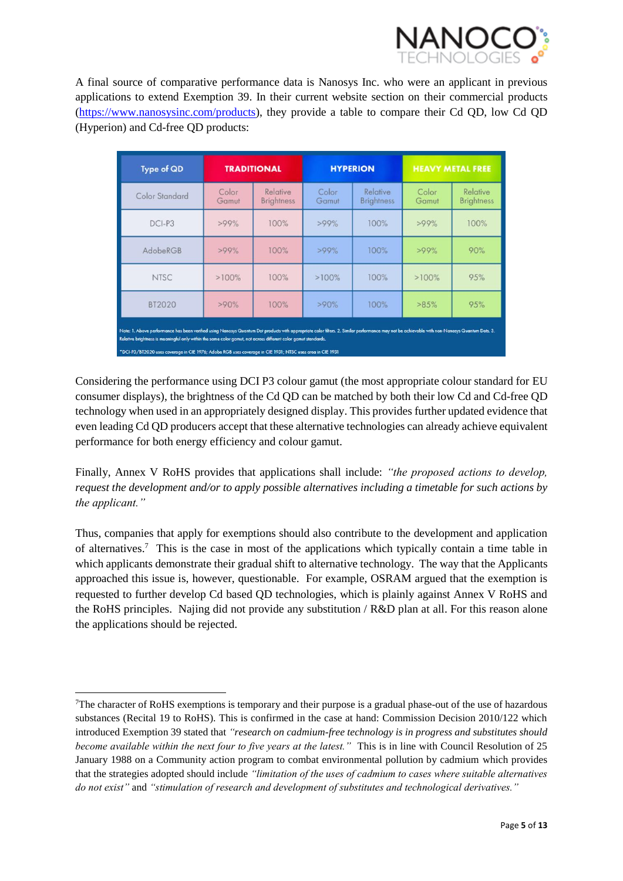

A final source of comparative performance data is Nanosys Inc. who were an applicant in previous applications to extend Exemption 39. In their current website section on their commercial products [\(https://www.nanosysinc.com/products\)](https://www.nanosysinc.com/products), they provide a table to compare their Cd QD, low Cd QD (Hyperion) and Cd-free QD products:

| <b>Type of QD</b>                                                                                                                                                                                                                                                                                                                                                                                                              | <b>TRADITIONAL</b> |                               |                | <b>HYPERION</b>               | <b>HEAVY METAL FREE</b> |                               |  |
|--------------------------------------------------------------------------------------------------------------------------------------------------------------------------------------------------------------------------------------------------------------------------------------------------------------------------------------------------------------------------------------------------------------------------------|--------------------|-------------------------------|----------------|-------------------------------|-------------------------|-------------------------------|--|
| Color Standard                                                                                                                                                                                                                                                                                                                                                                                                                 | Color<br>Gamut     | Relative<br><b>Brightness</b> | Color<br>Gamut | Relative<br><b>Brightness</b> | Color<br>Gamut          | Relative<br><b>Brightness</b> |  |
| DCI-P3                                                                                                                                                                                                                                                                                                                                                                                                                         | $>99\%$            | 100%                          | >99%           | 100%                          | >99%                    | 100%                          |  |
| AdobeRGB                                                                                                                                                                                                                                                                                                                                                                                                                       | $>99\%$            | 100%                          | >99%           | 100%                          | >99%                    | 90%                           |  |
| <b>NTSC</b>                                                                                                                                                                                                                                                                                                                                                                                                                    | >100%              | 100%                          | $>100\%$       | 100%                          | >100%                   | 95%                           |  |
| BT2020                                                                                                                                                                                                                                                                                                                                                                                                                         | >90%               | 100%                          | >90%           | 100%                          | >85%                    | 95%                           |  |
| Note: 1. Above performance has been verified using Nanosys Quantum Dot products with appropriate color filters. 2. Similar performance may not be achievable with non-Nanosys Quantum Dots. 3.<br>Relative brightness is meaningful only within the same color gamut, not across different color gamut standards.<br>*DCI-P3/BT2020 uses coverage in CIE 1976; Adobe RGB uses coverage in CIE 1931; NTSC uses area in CIE 1931 |                    |                               |                |                               |                         |                               |  |

Considering the performance using DCI P3 colour gamut (the most appropriate colour standard for EU consumer displays), the brightness of the Cd QD can be matched by both their low Cd and Cd-free QD technology when used in an appropriately designed display. This provides further updated evidence that even leading Cd QD producers accept that these alternative technologies can already achieve equivalent performance for both energy efficiency and colour gamut.

Finally, Annex V RoHS provides that applications shall include: *"the proposed actions to develop, request the development and/or to apply possible alternatives including a timetable for such actions by the applicant."*

Thus, companies that apply for exemptions should also contribute to the development and application of alternatives.<sup>7</sup> This is the case in most of the applications which typically contain a time table in which applicants demonstrate their gradual shift to alternative technology. The way that the Applicants approached this issue is, however, questionable. For example, OSRAM argued that the exemption is requested to further develop Cd based QD technologies, which is plainly against Annex V RoHS and the RoHS principles. Najing did not provide any substitution / R&D plan at all. For this reason alone the applications should be rejected.

**.** 

<sup>7</sup>The character of RoHS exemptions is temporary and their purpose is a gradual phase-out of the use of hazardous substances (Recital 19 to RoHS). This is confirmed in the case at hand: Commission Decision 2010/122 which introduced Exemption 39 stated that *"research on cadmium-free technology is in progress and substitutes should become available within the next four to five years at the latest."* This is in line with Council Resolution of 25 January 1988 on a Community action program to combat environmental pollution by cadmium which provides that the strategies adopted should include *"limitation of the uses of cadmium to cases where suitable alternatives do not exist"* and *"stimulation of research and development of substitutes and technological derivatives."*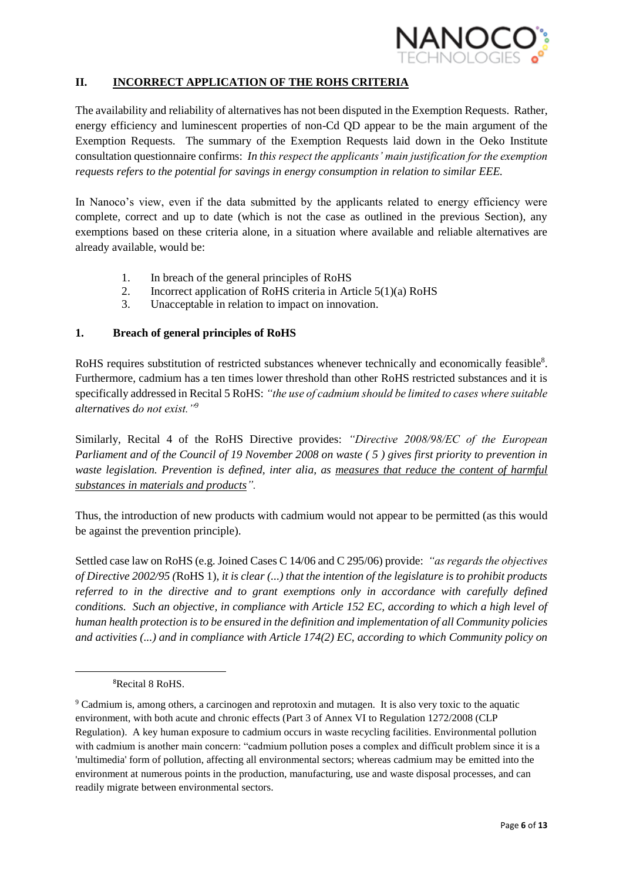

# **II. INCORRECT APPLICATION OF THE ROHS CRITERIA**

The availability and reliability of alternatives has not been disputed in the Exemption Requests. Rather, energy efficiency and luminescent properties of non-Cd QD appear to be the main argument of the Exemption Requests. The summary of the Exemption Requests laid down in the Oeko Institute consultation questionnaire confirms: *In this respect the applicants' main justification for the exemption requests refers to the potential for savings in energy consumption in relation to similar EEE.*

In Nanoco's view, even if the data submitted by the applicants related to energy efficiency were complete, correct and up to date (which is not the case as outlined in the previous Section), any exemptions based on these criteria alone, in a situation where available and reliable alternatives are already available, would be:

- 1. In breach of the general principles of RoHS
- 2. Incorrect application of RoHS criteria in Article 5(1)(a) RoHS
- 3. Unacceptable in relation to impact on innovation.

#### **1. Breach of general principles of RoHS**

RoHS requires substitution of restricted substances whenever technically and economically feasible<sup>8</sup>. Furthermore, cadmium has a ten times lower threshold than other RoHS restricted substances and it is specifically addressed in Recital 5 RoHS: *"the use of cadmium should be limited to cases where suitable alternatives do not exist."<sup>9</sup>*

Similarly, Recital 4 of the RoHS Directive provides: *"Directive 2008/98/EC of the European Parliament and of the Council of 19 November 2008 on waste ( 5 ) gives first priority to prevention in waste legislation. Prevention is defined, inter alia, as measures that reduce the content of harmful substances in materials and products".*

Thus, the introduction of new products with cadmium would not appear to be permitted (as this would be against the prevention principle).

Settled case law on RoHS (e.g. Joined Cases C 14/06 and C 295/06) provide: *"as regards the objectives of Directive 2002/95 (*RoHS 1)*, it is clear (...) that the intention of the legislature is to prohibit products referred to in the directive and to grant exemptions only in accordance with carefully defined conditions. Such an objective, in compliance with Article 152 EC, according to which a high level of human health protection is to be ensured in the definition and implementation of all Community policies and activities (...) and in compliance with Article 174(2) EC, according to which Community policy on* 

1

<sup>8</sup>Recital 8 RoHS.

<sup>9</sup> Cadmium is, among others, a carcinogen and reprotoxin and mutagen. It is also very toxic to the aquatic environment, with both acute and chronic effects (Part 3 of Annex VI to Regulation 1272/2008 (CLP Regulation). A key human exposure to cadmium occurs in waste recycling facilities. Environmental pollution with cadmium is another main concern: "cadmium pollution poses a complex and difficult problem since it is a 'multimedia' form of pollution, affecting all environmental sectors; whereas cadmium may be emitted into the environment at numerous points in the production, manufacturing, use and waste disposal processes, and can readily migrate between environmental sectors.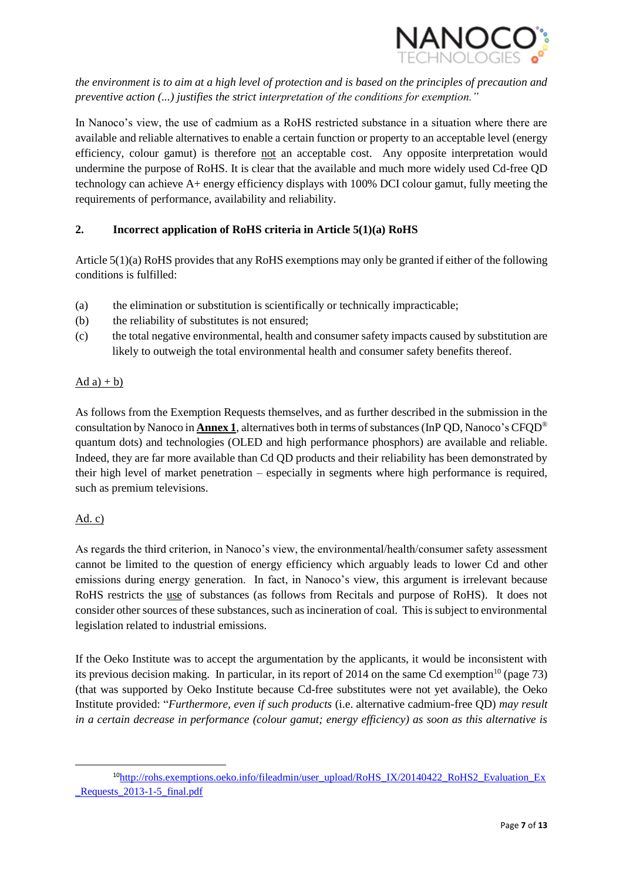

*the environment is to aim at a high level of protection and is based on the principles of precaution and preventive action (...) justifies the strict interpretation of the conditions for exemption."*

In Nanoco's view, the use of cadmium as a RoHS restricted substance in a situation where there are available and reliable alternatives to enable a certain function or property to an acceptable level (energy efficiency, colour gamut) is therefore not an acceptable cost. Any opposite interpretation would undermine the purpose of RoHS. It is clear that the available and much more widely used Cd-free QD technology can achieve A+ energy efficiency displays with 100% DCI colour gamut, fully meeting the requirements of performance, availability and reliability.

# **2. Incorrect application of RoHS criteria in Article 5(1)(a) RoHS**

Article 5(1)(a) RoHS provides that any RoHS exemptions may only be granted if either of the following conditions is fulfilled:

- (a) the elimination or substitution is scientifically or technically impracticable;
- (b) the reliability of substitutes is not ensured;
- (c) the total negative environmental, health and consumer safety impacts caused by substitution are likely to outweigh the total environmental health and consumer safety benefits thereof.

### Ad  $a$ ) + b)

As follows from the Exemption Requests themselves, and as further described in the submission in the consultation by Nanoco in **Annex 1**, alternatives both in terms of substances (InP QD, Nanoco's CFQD® quantum dots) and technologies (OLED and high performance phosphors) are available and reliable. Indeed, they are far more available than Cd QD products and their reliability has been demonstrated by their high level of market penetration – especially in segments where high performance is required, such as premium televisions.

## Ad. c)

As regards the third criterion, in Nanoco's view, the environmental/health/consumer safety assessment cannot be limited to the question of energy efficiency which arguably leads to lower Cd and other emissions during energy generation. In fact, in Nanoco's view, this argument is irrelevant because RoHS restricts the use of substances (as follows from Recitals and purpose of RoHS). It does not consider other sources of these substances, such as incineration of coal. This is subject to environmental legislation related to industrial emissions.

If the Oeko Institute was to accept the argumentation by the applicants, it would be inconsistent with its previous decision making. In particular, in its report of 2014 on the same Cd exemption<sup>10</sup> (page 73) (that was supported by Oeko Institute because Cd-free substitutes were not yet available), the Oeko Institute provided: "*Furthermore, even if such products* (i.e. alternative cadmium-free QD) *may result in a certain decrease in performance (colour gamut; energy efficiency) as soon as this alternative is* 

**<sup>.</sup>** <sup>10</sup>[http://rohs.exemptions.oeko.info/fileadmin/user\\_upload/RoHS\\_IX/20140422\\_RoHS2\\_Evaluation\\_Ex](http://rohs.exemptions.oeko.info/fileadmin/user_upload/RoHS_IX/20140422_RoHS2_Evaluation_Ex_Requests_2013-1-5_final.pdf)\_ [\\_Requests\\_2013-1-5\\_final.pdf](http://rohs.exemptions.oeko.info/fileadmin/user_upload/RoHS_IX/20140422_RoHS2_Evaluation_Ex_Requests_2013-1-5_final.pdf)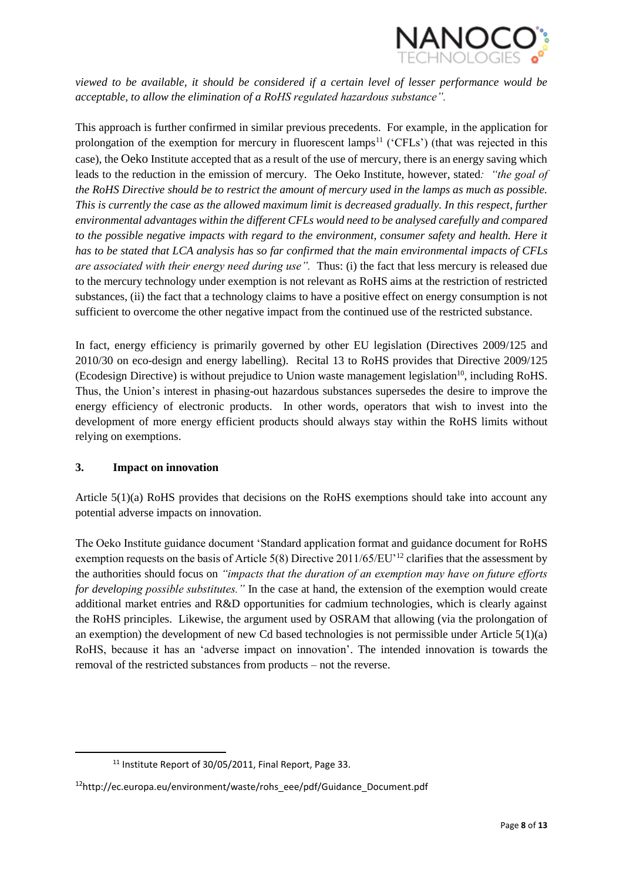

*viewed to be available, it should be considered if a certain level of lesser performance would be acceptable, to allow the elimination of a RoHS regulated hazardous substance".*

This approach is further confirmed in similar previous precedents. For example, in the application for prolongation of the exemption for mercury in fluorescent lamps<sup>11</sup> ('CFLs') (that was rejected in this case), the Oeko Institute accepted that as a result of the use of mercury, there is an energy saving which leads to the reduction in the emission of mercury. The Oeko Institute, however, stated*: "the goal of the RoHS Directive should be to restrict the amount of mercury used in the lamps as much as possible. This is currently the case as the allowed maximum limit is decreased gradually. In this respect, further environmental advantages within the different CFLs would need to be analysed carefully and compared to the possible negative impacts with regard to the environment, consumer safety and health. Here it has to be stated that LCA analysis has so far confirmed that the main environmental impacts of CFLs are associated with their energy need during use".* Thus: (i) the fact that less mercury is released due to the mercury technology under exemption is not relevant as RoHS aims at the restriction of restricted substances, (ii) the fact that a technology claims to have a positive effect on energy consumption is not sufficient to overcome the other negative impact from the continued use of the restricted substance.

In fact, energy efficiency is primarily governed by other EU legislation (Directives 2009/125 and 2010/30 on eco-design and energy labelling). Recital 13 to RoHS provides that Directive 2009/125 (Ecodesign Directive) is without prejudice to Union waste management legislation<sup>10</sup>, including RoHS. Thus, the Union's interest in phasing-out hazardous substances supersedes the desire to improve the energy efficiency of electronic products. In other words, operators that wish to invest into the development of more energy efficient products should always stay within the RoHS limits without relying on exemptions.

#### **3. Impact on innovation**

**.** 

Article 5(1)(a) RoHS provides that decisions on the RoHS exemptions should take into account any potential adverse impacts on innovation.

The Oeko Institute guidance document 'Standard application format and guidance document for RoHS exemption requests on the basis of Article 5(8) Directive 2011/65/EU'<sup>12</sup> clarifies that the assessment by the authorities should focus on *"impacts that the duration of an exemption may have on future efforts for developing possible substitutes."* In the case at hand, the extension of the exemption would create additional market entries and R&D opportunities for cadmium technologies, which is clearly against the RoHS principles. Likewise, the argument used by OSRAM that allowing (via the prolongation of an exemption) the development of new Cd based technologies is not permissible under Article  $5(1)(a)$ RoHS, because it has an 'adverse impact on innovation'. The intended innovation is towards the removal of the restricted substances from products – not the reverse.

<sup>11</sup> Institute Report of 30/05/2011, Final Report, Page 33.

<sup>12</sup>http://ec.europa.eu/environment/waste/rohs\_eee/pdf/Guidance\_Document.pdf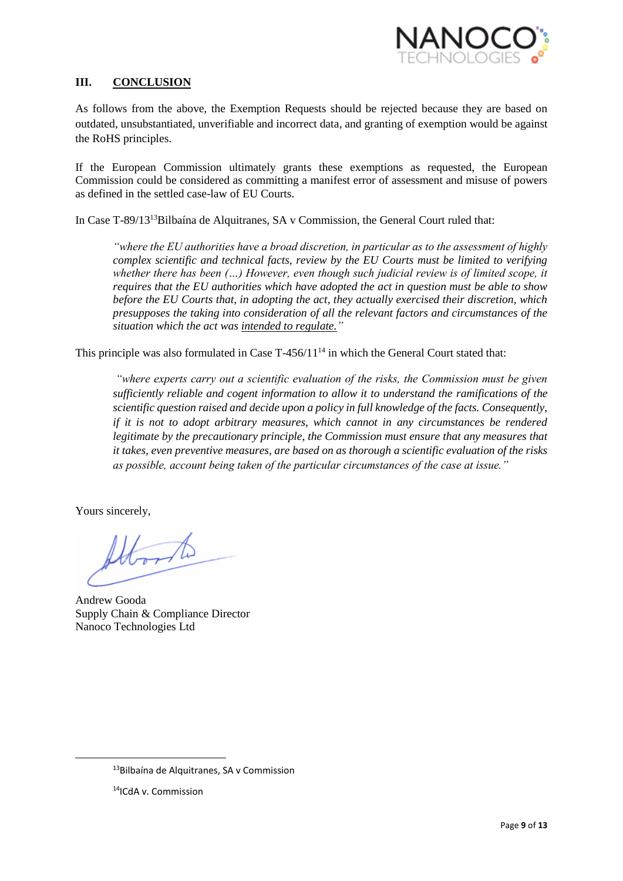

### **III. CONCLUSION**

As follows from the above, the Exemption Requests should be rejected because they are based on outdated, unsubstantiated, unverifiable and incorrect data, and granting of exemption would be against the RoHS principles.

If the European Commission ultimately grants these exemptions as requested, the European Commission could be considered as committing a manifest error of assessment and misuse of powers as defined in the settled case-law of EU Courts.

In Case T-89/13<sup>13</sup>Bilbaína de Alquitranes, SA v Commission, the General Court ruled that:

*"where the EU authorities have a broad discretion, in particular as to the assessment of highly complex scientific and technical facts, review by the EU Courts must be limited to verifying whether there has been (…) However, even though such judicial review is of limited scope, it requires that the EU authorities which have adopted the act in question must be able to show before the EU Courts that, in adopting the act, they actually exercised their discretion, which presupposes the taking into consideration of all the relevant factors and circumstances of the situation which the act was intended to regulate."*

This principle was also formulated in Case  $T-456/11^{14}$  in which the General Court stated that:

*"where experts carry out a scientific evaluation of the risks, the Commission must be given sufficiently reliable and cogent information to allow it to understand the ramifications of the scientific question raised and decide upon a policy in full knowledge of the facts. Consequently, if it is not to adopt arbitrary measures, which cannot in any circumstances be rendered legitimate by the precautionary principle, the Commission must ensure that any measures that it takes, even preventive measures, are based on as thorough a scientific evaluation of the risks as possible, account being taken of the particular circumstances of the case at issue."*

Yours sincerely,

 $\overline{\phantom{a}}$ 

Andrew Gooda Supply Chain & Compliance Director Nanoco Technologies Ltd

<sup>13</sup>Bilbaína de Alquitranes, SA v Commission

<sup>14</sup>ICdA v. Commission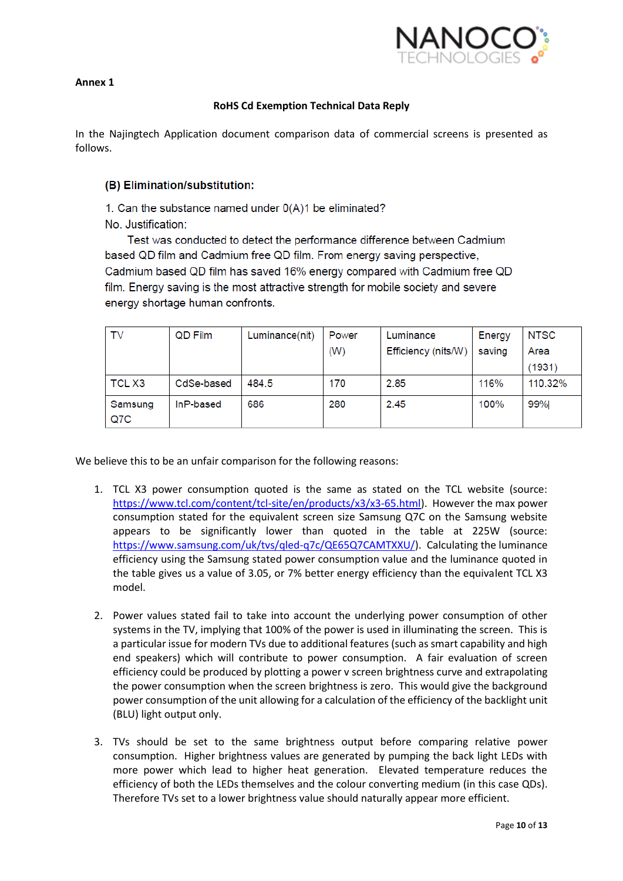

#### **Annex 1**

### **RoHS Cd Exemption Technical Data Reply**

In the Najingtech Application document comparison data of commercial screens is presented as follows.

### (B) Elimination/substitution:

1. Can the substance named under 0(A)1 be eliminated?

No. Justification:

Test was conducted to detect the performance difference between Cadmium based QD film and Cadmium free QD film. From energy saving perspective, Cadmium based QD film has saved 16% energy compared with Cadmium free QD film. Energy saving is the most attractive strength for mobile society and severe energy shortage human confronts.

| TV      | QD Film    | Luminance(nit) | Power | Luminance           | Energy | <b>NTSC</b> |
|---------|------------|----------------|-------|---------------------|--------|-------------|
|         |            |                | (W)   | Efficiency (nits/W) | saving | Area        |
|         |            |                |       |                     |        | (1931)      |
| TCL X3  | CdSe-based | 484.5          | 170   | 2.85                | 116%   | 110.32%     |
| Samsung | InP-based  | 686            | 280   | 2.45                | 100%   | 99%         |
| Q7C     |            |                |       |                     |        |             |

We believe this to be an unfair comparison for the following reasons:

- 1. TCL X3 power consumption quoted is the same as stated on the TCL website (source: [https://www.tcl.com/content/tcl-site/en/products/x3/x3-65.html\)](https://www.tcl.com/content/tcl-site/en/products/x3/x3-65.html). However the max power consumption stated for the equivalent screen size Samsung Q7C on the Samsung website appears to be significantly lower than quoted in the table at 225W (source: [https://www.samsung.com/uk/tvs/qled-q7c/QE65Q7CAMTXXU/\)](https://www.samsung.com/uk/tvs/qled-q7c/QE65Q7CAMTXXU/). Calculating the luminance efficiency using the Samsung stated power consumption value and the luminance quoted in the table gives us a value of 3.05, or 7% better energy efficiency than the equivalent TCL X3 model.
- 2. Power values stated fail to take into account the underlying power consumption of other systems in the TV, implying that 100% of the power is used in illuminating the screen. This is a particular issue for modern TVs due to additional features (such as smart capability and high end speakers) which will contribute to power consumption. A fair evaluation of screen efficiency could be produced by plotting a power v screen brightness curve and extrapolating the power consumption when the screen brightness is zero. This would give the background power consumption of the unit allowing for a calculation of the efficiency of the backlight unit (BLU) light output only.
- 3. TVs should be set to the same brightness output before comparing relative power consumption. Higher brightness values are generated by pumping the back light LEDs with more power which lead to higher heat generation. Elevated temperature reduces the efficiency of both the LEDs themselves and the colour converting medium (in this case QDs). Therefore TVs set to a lower brightness value should naturally appear more efficient.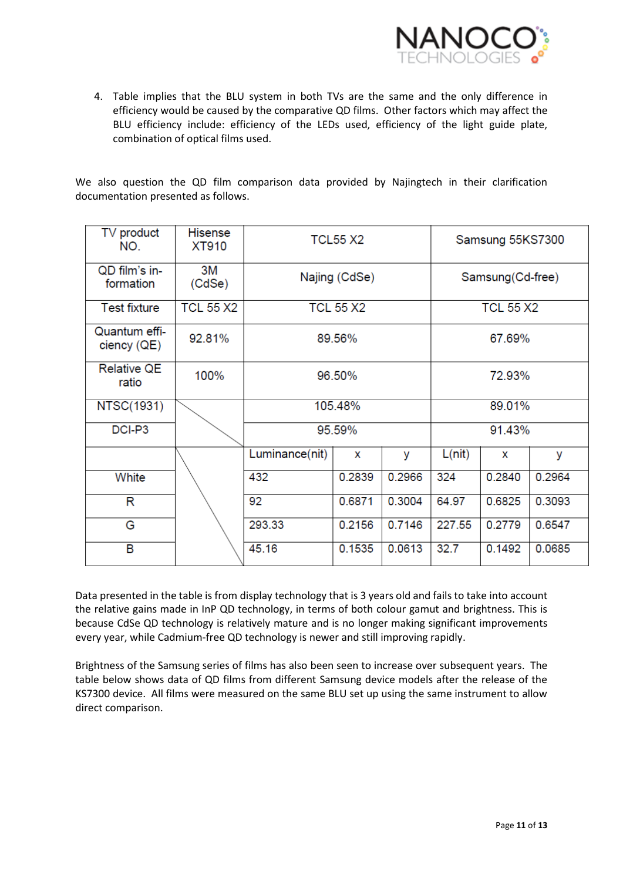

4. Table implies that the BLU system in both TVs are the same and the only difference in efficiency would be caused by the comparative QD films. Other factors which may affect the BLU efficiency include: efficiency of the LEDs used, efficiency of the light guide plate, combination of optical films used.

We also question the QD film comparison data provided by Najingtech in their clarification documentation presented as follows.

| TV product<br>NO.            | <b>Hisense</b><br>XT910 | <b>TCL55 X2</b> | Samsung 55KS7300 |        |                  |        |        |
|------------------------------|-------------------------|-----------------|------------------|--------|------------------|--------|--------|
| QD film's in-<br>formation   | 3M<br>(CdSe)            | Najing (CdSe)   |                  |        | Samsung(Cd-free) |        |        |
| <b>Test fixture</b>          | <b>TCL 55 X2</b>        |                 | <b>TCL 55 X2</b> |        | <b>TCL 55 X2</b> |        |        |
| Quantum effi-<br>ciency (QE) | 92.81%                  | 89.56%          |                  |        | 67.69%           |        |        |
| <b>Relative QE</b><br>ratio  | 100%                    | 96.50%          |                  |        | 72.93%           |        |        |
| <b>NTSC(1931)</b>            |                         | 105.48%         |                  |        | 89.01%           |        |        |
| DCI-P3                       |                         | 95.59%          |                  |        | 91.43%           |        |        |
|                              |                         | Luminance(nit)  | X                | У      | L(nit)           | X      | У      |
| White                        |                         | 432             | 0.2839           | 0.2966 | 324              | 0.2840 | 0.2964 |
| R                            |                         | 92              | 0.6871           | 0.3004 | 64.97            | 0.6825 | 0.3093 |
| G                            |                         | 293.33          | 0.2156           | 0.7146 | 227.55           | 0.2779 | 0.6547 |
| B                            |                         | 45.16           | 0.1535           | 0.0613 | 32.7             | 0.1492 | 0.0685 |

Data presented in the table is from display technology that is 3 years old and fails to take into account the relative gains made in InP QD technology, in terms of both colour gamut and brightness. This is because CdSe QD technology is relatively mature and is no longer making significant improvements every year, while Cadmium-free QD technology is newer and still improving rapidly.

Brightness of the Samsung series of films has also been seen to increase over subsequent years. The table below shows data of QD films from different Samsung device models after the release of the KS7300 device. All films were measured on the same BLU set up using the same instrument to allow direct comparison.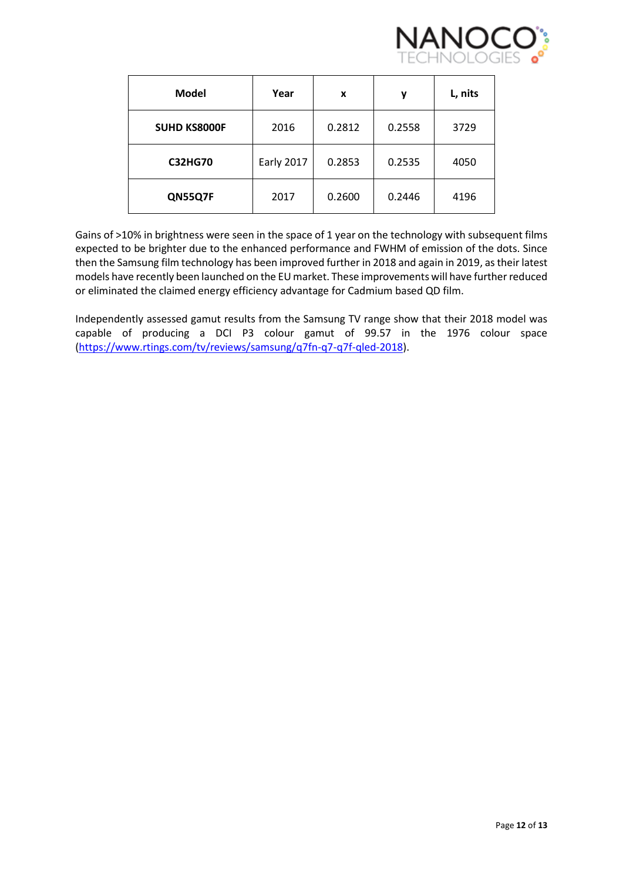

| <b>Model</b>        | Year              | x      | у      | L, nits |
|---------------------|-------------------|--------|--------|---------|
| <b>SUHD KS8000F</b> | 2016              | 0.2812 | 0.2558 | 3729    |
| <b>C32HG70</b>      | <b>Early 2017</b> | 0.2853 | 0.2535 | 4050    |
| QN55Q7F             | 2017              | 0.2600 | 0.2446 | 4196    |

Gains of >10% in brightness were seen in the space of 1 year on the technology with subsequent films expected to be brighter due to the enhanced performance and FWHM of emission of the dots. Since then the Samsung film technology has been improved further in 2018 and again in 2019, as their latest models have recently been launched on the EU market. These improvements will have further reduced or eliminated the claimed energy efficiency advantage for Cadmium based QD film.

Independently assessed gamut results from the Samsung TV range show that their 2018 model was capable of producing a DCI P3 colour gamut of 99.57 in the 1976 colour space [\(https://www.rtings.com/tv/reviews/samsung/q7fn-q7-q7f-qled-2018\)](https://www.rtings.com/tv/reviews/samsung/q7fn-q7-q7f-qled-2018).